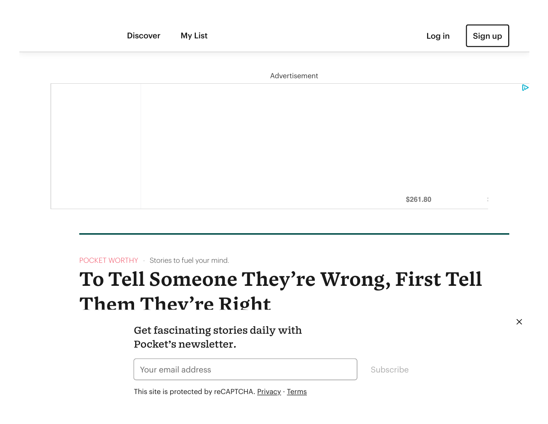|  | <b>Discover</b> | <b>My List</b> |               | Log in   | Sign up       |                  |
|--|-----------------|----------------|---------------|----------|---------------|------------------|
|  |                 |                | Advertisement |          |               |                  |
|  |                 |                |               |          |               | $\triangleright$ |
|  |                 |                |               |          |               |                  |
|  |                 |                |               |          |               |                  |
|  |                 |                |               |          |               |                  |
|  |                 |                |               | \$261.80 | $\frac{1}{2}$ |                  |

POCKET WORTHY · Stories to fuel your mind.

# **To Tell Someone They're Wrong, First Tell Them They're Right**

Get fascinating stories daily with  $\,$ Pocket's newsletter.

**Lines | Olivia Coldress** 

Subscribe

This site is protected by reCAPTCHA. <u>[Privacy](https://policies.google.com/privacy) · Terms</u>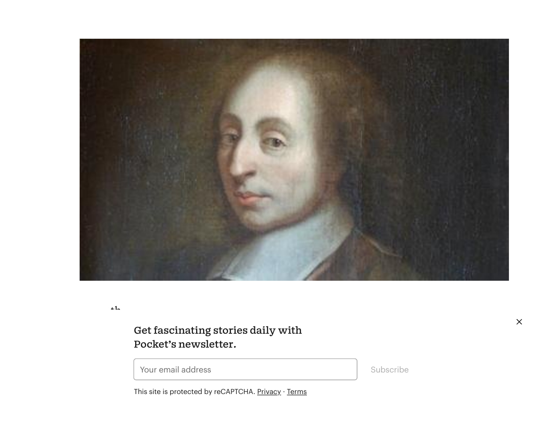

 $+1$ 

#### Get fascinating stories daily with product decision. But it seems the French thinker also had a known that  $\frac{1}{2}$ Pocket's newsletter.

Prour email address points out the most effective way to get someone to get someone to get someone to get someone to get someone to get someone to get someone to change to get someone to get someone to change to get someon

Subscribe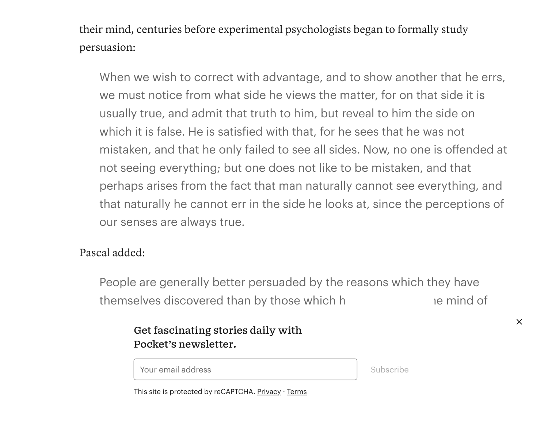their mind, centuries before experimental psychologists began to formally study persuasion:

When we wish to correct with advantage, and to show another that he errs, we must notice from what side he views the matter, for on that side it is usually true, and admit that truth to him, but reveal to him the side on which it is false. He is satisfied with that, for he sees that he was not mistaken, and that he only failed to see all sides. Now, no one is offended at not seeing everything; but one does not like to be mistaken, and that perhaps arises from the fact that man naturally cannot see everything, and that naturally he cannot err in the side he looks at, since the perceptions of our senses are always true.

### Pascal added:

People are generally better persuaded by the reasons which they have themselves discovered than by those which heavy into the mind of

#### POCKET'S NEWSIETTET. Get fascinating stories daily with Pocket's newsletter.

ways in which they were right. And to effect in the subscribe some to change their mind,  $\sim$  subscribe their mind,  $\sim$  subscribe their mind,  $\sim$  subscribe their mind,  $\sim$  subscribe their mind,  $\sim$  subscribe the subscr

Subscribe

This site is protected by reCAPTCHA. <u>[Privacy](https://policies.google.com/privacy)</u> · <u>[Terms](https://policies.google.com/terms)</u>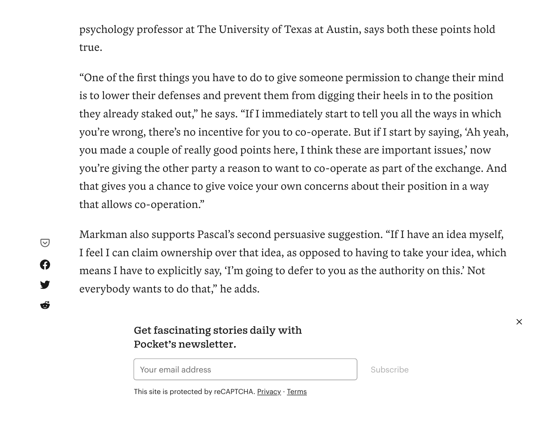psychology professor at The University of Texas at Austin, says both these points hold true.

"One of the first things you have to do to give someone permission to change their mind is to lower their defenses and prevent them from digging their heels in to the position they already staked out, " he says. "If I immediately start to tell you all the ways in which you're wrong, there's no incentive for you to co-operate. But if I start by saying, 'Ah yeah, you made a couple of really good points here, I think these are important issues, ' now you're giving the other party a reason to want to co-operate as part of the exchange. And that gives you a chance to give voice your own concerns about their position in a way that allows co-operation."

 $\bigcirc$  $\boldsymbol{\Omega}$ y Ő Markman also supports Pascal's second persuasive suggestion. "If I have an idea myself, I feel I can claim ownership over that idea, as opposed to having to take your idea, which means I have to explicitly say, 'I'm going to defer to you as the authority on this.' Not everybody wants to do that, " he adds.

## Get fascinating stories daily with<br>Reglating acceletion Pocket's newsletter.

Your email address

Subscribe

How was it? Save stories you love and never lose them. This site is protected by reCAPTCHA. [Privacy](https://policies.google.com/privacy) · [Terms](https://policies.google.com/terms)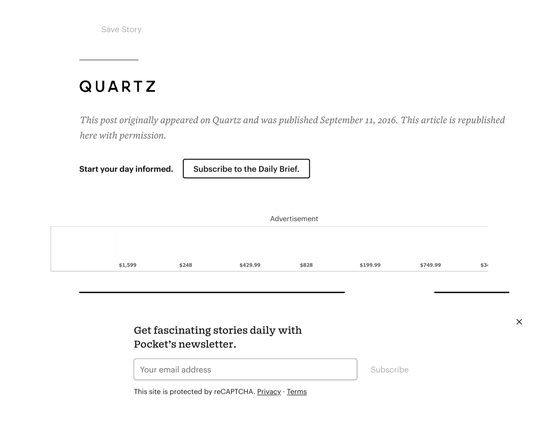Save Story

## **QUARTZ**

*This post originally appeared on Quartz and was published September 11, 2016. This article is republished here with permission.*

**Start your day informed.**

[Subscribe](https://qz.com/emails/daily-brief/?utm_source=pocket&utm_medium=content-licensing) to the Daily Brief.

| Advertisement |         |       |          |       |          |          |      |  |  |  |  |  |
|---------------|---------|-------|----------|-------|----------|----------|------|--|--|--|--|--|
|               |         |       |          |       |          |          |      |  |  |  |  |  |
|               |         |       |          |       |          |          |      |  |  |  |  |  |
|               | \$1,599 | \$248 | \$429.99 | \$828 | \$199.99 | \$749.99 | \$34 |  |  |  |  |  |

## Get fascinating stories daily with Pocket's [newsletter.](https://getpocket.com/explore/item/how-to-criticize-with-kindness)

Your email address

**How to Criticize with [Kindness](https://getpocket.com/explore/item/how-to-criticize-with-kindness)** Subscribe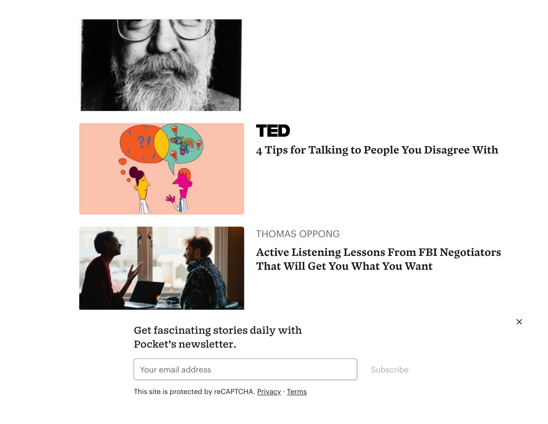



## **TED**

**4 [Tips for Talking](https://getpocket.com/explore/item/4-tips-for-talking-to-people-you-disagree-with) to People You Disagree With**



#### THOMAS OPPONG

**Active Listening Lessons From FBI [Negotiators](https://getpocket.com/explore/item/active-listening-lessons-from-fbi-negotiators-that-will-get-you-what-you-want) That Will Get You What You Want**

Get fascinating stories daily with Pocket's [newsletter.](https://getpocket.com/explore/item/why-speaking-to-yourself-in-the-third-person-makes-you-wiser)

Your email address

Subscribe

 $\times$ 

**Why Speaking to Yourself in the Third Person**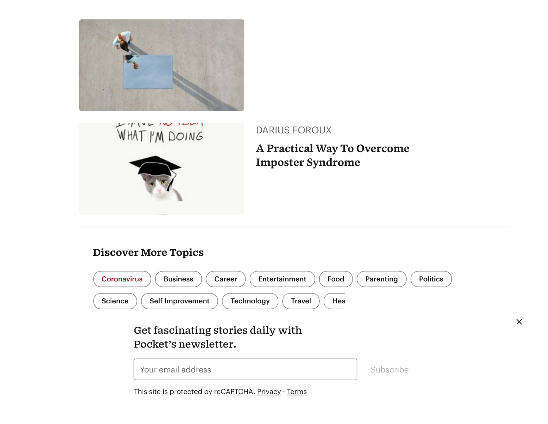





DARIUS FOROUX

**A Practical Way To Overcome [Imposter Syndrome](https://getpocket.com/explore/item/a-practical-way-to-overcome-imposter-syndrome)**

### Discover More Topics



Get fascinating stories daily with Pocket's newsletter.



This site is protected by reCAPTCHA. <u>[Privacy](https://policies.google.com/privacy) · [Terms](https://policies.google.com/terms)</u>

 $\times$